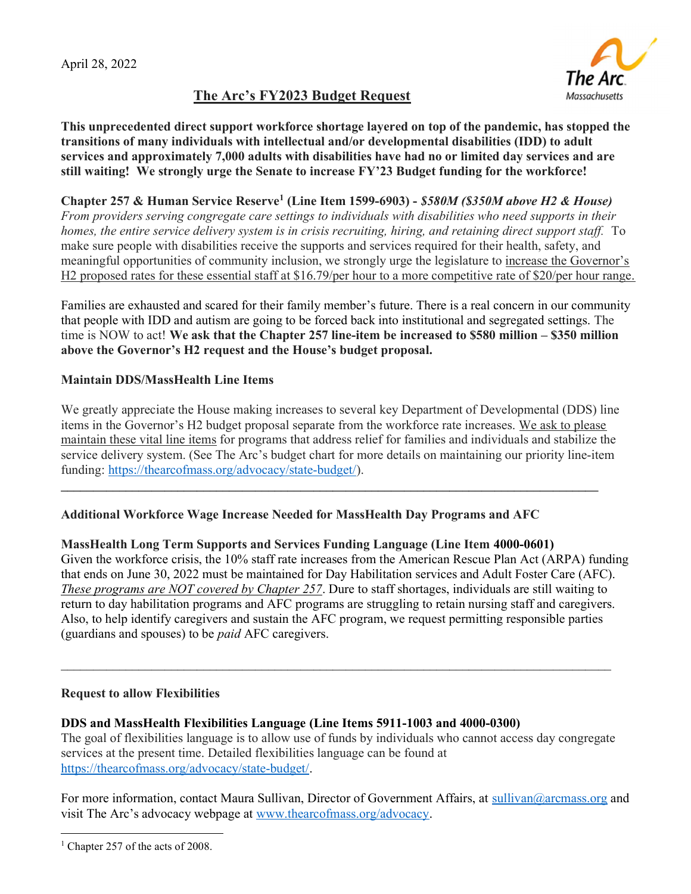



This unprecedented direct support workforce shortage layered on top of the pandemic, has stopped the transitions of many individuals with intellectual and/or developmental disabilities (IDD) to adult services and approximately 7,000 adults with disabilities have had no or limited day services and are still waiting! We strongly urge the Senate to increase FY'23 Budget funding for the workforce!

Chapter 257 & Human Service Reserve<sup>1</sup> (Line Item 1599-6903) - \$580M (\$350M above H2 & House) From providers serving congregate care settings to individuals with disabilities who need supports in their homes, the entire service delivery system is in crisis recruiting, hiring, and retaining direct support staff. To make sure people with disabilities receive the supports and services required for their health, safety, and meaningful opportunities of community inclusion, we strongly urge the legislature to increase the Governor's H2 proposed rates for these essential staff at \$16.79/per hour to a more competitive rate of \$20/per hour range.

Families are exhausted and scared for their family member's future. There is a real concern in our community that people with IDD and autism are going to be forced back into institutional and segregated settings. The time is NOW to act! We ask that the Chapter 257 line-item be increased to \$580 million – \$350 million above the Governor's H2 request and the House's budget proposal.

## Maintain DDS/MassHealth Line Items

We greatly appreciate the House making increases to several key Department of Developmental (DDS) line items in the Governor's H2 budget proposal separate from the workforce rate increases. We ask to please maintain these vital line items for programs that address relief for families and individuals and stabilize the service delivery system. (See The Arc's budget chart for more details on maintaining our priority line-item funding: https://thearcofmass.org/advocacy/state-budget/).

 $\_$  , and the state of the state of the state of the state of the state of the state of the state of the state of the state of the state of the state of the state of the state of the state of the state of the state of the

## Additional Workforce Wage Increase Needed for MassHealth Day Programs and AFC

## MassHealth Long Term Supports and Services Funding Language (Line Item 4000-0601)

Given the workforce crisis, the 10% staff rate increases from the American Rescue Plan Act (ARPA) funding that ends on June 30, 2022 must be maintained for Day Habilitation services and Adult Foster Care (AFC). These programs are NOT covered by Chapter 257. Dure to staff shortages, individuals are still waiting to return to day habilitation programs and AFC programs are struggling to retain nursing staff and caregivers. Also, to help identify caregivers and sustain the AFC program, we request permitting responsible parties (guardians and spouses) to be paid AFC caregivers.

## Request to allow Flexibilities

## DDS and MassHealth Flexibilities Language (Line Items 5911-1003 and 4000-0300)

The goal of flexibilities language is to allow use of funds by individuals who cannot access day congregate services at the present time. Detailed flexibilities language can be found at https://thearcofmass.org/advocacy/state-budget/.

 $\mathcal{L}_\mathcal{L} = \{ \mathcal{L}_\mathcal{L} = \{ \mathcal{L}_\mathcal{L} = \{ \mathcal{L}_\mathcal{L} = \{ \mathcal{L}_\mathcal{L} = \{ \mathcal{L}_\mathcal{L} = \{ \mathcal{L}_\mathcal{L} = \{ \mathcal{L}_\mathcal{L} = \{ \mathcal{L}_\mathcal{L} = \{ \mathcal{L}_\mathcal{L} = \{ \mathcal{L}_\mathcal{L} = \{ \mathcal{L}_\mathcal{L} = \{ \mathcal{L}_\mathcal{L} = \{ \mathcal{L}_\mathcal{L} = \{ \mathcal{L}_\mathcal{$ 

For more information, contact Maura Sullivan, Director of Government Affairs, at sullivan@arcmass.org and visit The Arc's advocacy webpage at www.thearcofmass.org/advocacy.

<sup>&</sup>lt;sup>1</sup> Chapter 257 of the acts of 2008.